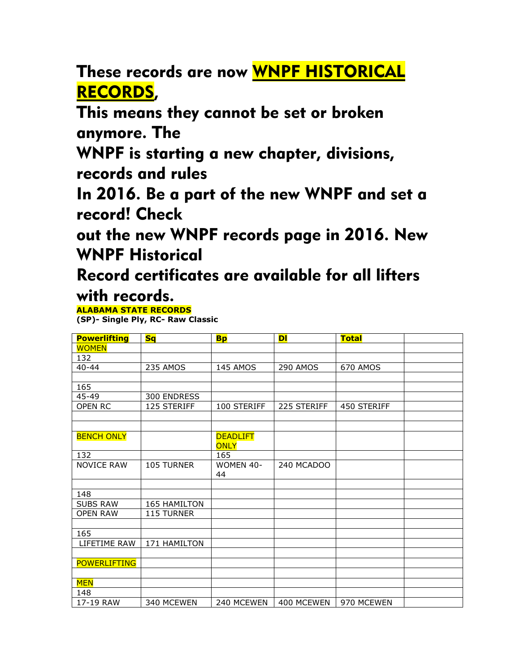These records are now WNPF HISTORICAL RECORDS,

This means they cannot be set or broken anymore. The

WNPF is starting a new chapter, divisions, records and rules

In 2016. Be a part of the new WNPF and set a record! Check

out the new WNPF records page in 2016. New WNPF Historical

Record certificates are available for all lifters with records.

## **ALABAMA STATE RECORDS**

**(SP)- Single Ply, RC- Raw Classic**

| <b>Powerlifting</b> | <b>Sq</b>    | <b>Bp</b>       | DI          | <b>Total</b> |  |
|---------------------|--------------|-----------------|-------------|--------------|--|
| <b>WOMEN</b>        |              |                 |             |              |  |
| 132                 |              |                 |             |              |  |
| $40 - 44$           | 235 AMOS     | 145 AMOS        | 290 AMOS    | 670 AMOS     |  |
|                     |              |                 |             |              |  |
| 165                 |              |                 |             |              |  |
| 45-49               | 300 ENDRESS  |                 |             |              |  |
| OPEN RC             | 125 STERIFF  | 100 STERIFF     | 225 STERIFF | 450 STERIFF  |  |
|                     |              |                 |             |              |  |
|                     |              |                 |             |              |  |
| <b>BENCH ONLY</b>   |              | <b>DEADLIFT</b> |             |              |  |
|                     |              | <b>ONLY</b>     |             |              |  |
| 132                 |              | 165             |             |              |  |
| <b>NOVICE RAW</b>   | 105 TURNER   | WOMEN 40-<br>44 | 240 MCADOO  |              |  |
|                     |              |                 |             |              |  |
| 148                 |              |                 |             |              |  |
| <b>SUBS RAW</b>     | 165 HAMILTON |                 |             |              |  |
| <b>OPEN RAW</b>     | 115 TURNER   |                 |             |              |  |
|                     |              |                 |             |              |  |
| 165                 |              |                 |             |              |  |
| LIFETIME RAW        | 171 HAMILTON |                 |             |              |  |
|                     |              |                 |             |              |  |
| <b>POWERLIFTING</b> |              |                 |             |              |  |
|                     |              |                 |             |              |  |
| <b>MEN</b>          |              |                 |             |              |  |
| 148                 |              |                 |             |              |  |
| 17-19 RAW           | 340 MCEWEN   | 240 MCEWEN      | 400 MCEWEN  | 970 MCEWEN   |  |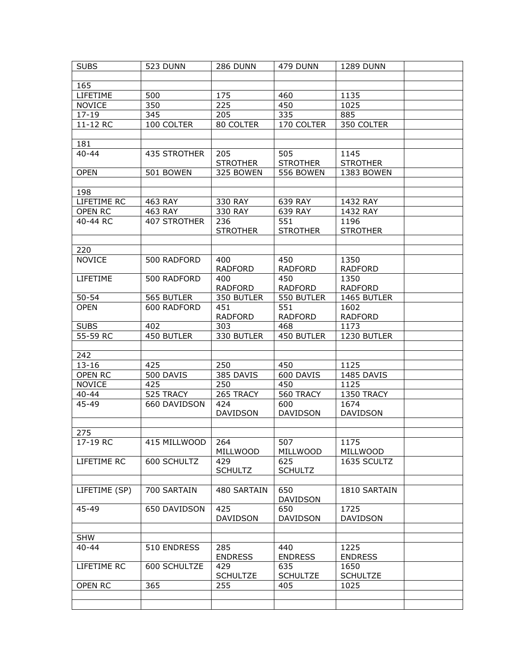| <b>SUBS</b>   | 523 DUNN           | 286 DUNN        | 479 DUNN        | <b>1289 DUNN</b> |  |
|---------------|--------------------|-----------------|-----------------|------------------|--|
|               |                    |                 |                 |                  |  |
| 165           |                    |                 |                 |                  |  |
| LIFETIME      | 500                | 175             | 460             | 1135             |  |
| <b>NOVICE</b> | 350                | 225             | 450             | 1025             |  |
| $17 - 19$     | 345                | 205             | 335             | 885              |  |
| 11-12 RC      | 100 COLTER         | 80 COLTER       | 170 COLTER      | 350 COLTER       |  |
|               |                    |                 |                 |                  |  |
| 181           |                    |                 |                 |                  |  |
| $40 - 44$     | 435 STROTHER       | 205             | 505             | 1145             |  |
|               |                    | <b>STROTHER</b> | <b>STROTHER</b> | <b>STROTHER</b>  |  |
| <b>OPEN</b>   | 501 BOWEN          | 325 BOWEN       | 556 BOWEN       | 1383 BOWEN       |  |
|               |                    |                 |                 |                  |  |
| 198           |                    |                 |                 |                  |  |
| LIFETIME RC   | 463 RAY            | 330 RAY         | 639 RAY         | 1432 RAY         |  |
| OPEN RC       | 463 RAY            | 330 RAY         | 639 RAY         | 1432 RAY         |  |
| 40-44 RC      | 407 STROTHER       | 236             | 551             | 1196             |  |
|               |                    | <b>STROTHER</b> | <b>STROTHER</b> | <b>STROTHER</b>  |  |
|               |                    |                 |                 |                  |  |
| 220           |                    |                 |                 |                  |  |
| <b>NOVICE</b> | 500 RADFORD        | 400             | 450             | 1350             |  |
|               |                    | <b>RADFORD</b>  | <b>RADFORD</b>  | <b>RADFORD</b>   |  |
| LIFETIME      | 500 RADFORD        | 400             | 450             | 1350             |  |
|               |                    | <b>RADFORD</b>  | <b>RADFORD</b>  | <b>RADFORD</b>   |  |
| $50 - 54$     | 565 BUTLER         | 350 BUTLER      | 550 BUTLER      | 1465 BUTLER      |  |
| <b>OPEN</b>   | 600 RADFORD        | 451             | 551             | 1602             |  |
|               |                    | <b>RADFORD</b>  | <b>RADFORD</b>  | <b>RADFORD</b>   |  |
| <b>SUBS</b>   | 402                | 303             | 468             | 1173             |  |
| 55-59 RC      | 450 BUTLER         | 330 BUTLER      | 450 BUTLER      | 1230 BUTLER      |  |
|               |                    |                 |                 |                  |  |
| 242           |                    |                 |                 |                  |  |
| $13 - 16$     | 425                | 250             | 450             | 1125             |  |
| OPEN RC       | 500 DAVIS          | 385 DAVIS       | 600 DAVIS       | 1485 DAVIS       |  |
| <b>NOVICE</b> | 425                | 250             | 450             | 1125             |  |
| $40 - 44$     | 525 TRACY          | 265 TRACY       | 560 TRACY       | 1350 TRACY       |  |
| 45-49         | 660 DAVIDSON       | 424             | 600             | 1674             |  |
|               |                    | <b>DAVIDSON</b> | <b>DAVIDSON</b> | <b>DAVIDSON</b>  |  |
|               |                    |                 |                 |                  |  |
| 275           |                    |                 |                 |                  |  |
| 17-19 RC      | 415 MILLWOOD   264 |                 | 507             | 1175             |  |
|               |                    | MILLWOOD        | MILLWOOD        | MILLWOOD         |  |
| LIFETIME RC   | 600 SCHULTZ        | 429             | 625             | 1635 SCULTZ      |  |
|               |                    | <b>SCHULTZ</b>  | <b>SCHULTZ</b>  |                  |  |
|               |                    |                 |                 |                  |  |
| LIFETIME (SP) | 700 SARTAIN        | 480 SARTAIN     | 650             | 1810 SARTAIN     |  |
|               |                    |                 | <b>DAVIDSON</b> |                  |  |
| 45-49         | 650 DAVIDSON       | 425             | 650             | 1725             |  |
|               |                    | DAVIDSON        | DAVIDSON        | DAVIDSON         |  |
|               |                    |                 |                 |                  |  |
| <b>SHW</b>    |                    |                 |                 |                  |  |
| $40 - 44$     | 510 ENDRESS        | 285             | 440             | 1225             |  |
|               |                    | <b>ENDRESS</b>  | <b>ENDRESS</b>  | <b>ENDRESS</b>   |  |
| LIFETIME RC   | 600 SCHULTZE       | 429             | 635             | 1650             |  |
|               |                    | <b>SCHULTZE</b> | <b>SCHULTZE</b> | <b>SCHULTZE</b>  |  |
| OPEN RC       | 365                | 255             | 405             | 1025             |  |
|               |                    |                 |                 |                  |  |
|               |                    |                 |                 |                  |  |